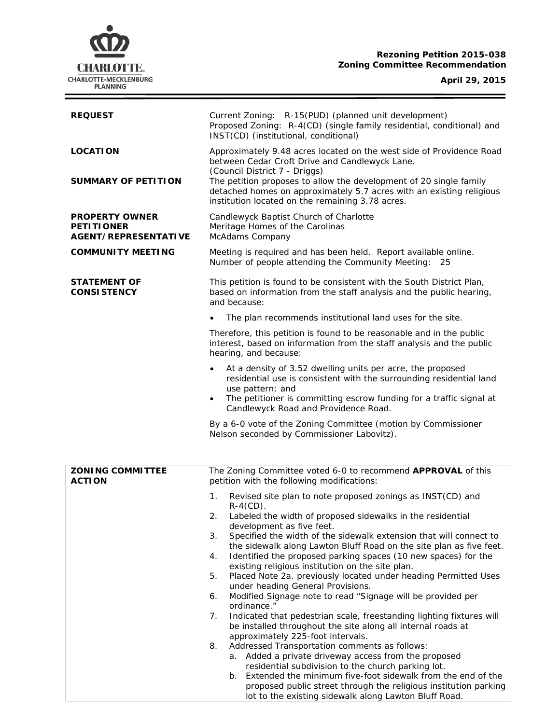

Ξ

| <b>REQUEST</b>                                                            | Current Zoning: R-15(PUD) (planned unit development)<br>Proposed Zoning: R-4(CD) (single family residential, conditional) and<br>INST(CD) (institutional, conditional)                                                                                                                                                                                                                                                                                                                                                                                                                                                                                                                                                                                                                                                                                                                                                                                                                                                                                                                                                                                                                                                      |  |  |
|---------------------------------------------------------------------------|-----------------------------------------------------------------------------------------------------------------------------------------------------------------------------------------------------------------------------------------------------------------------------------------------------------------------------------------------------------------------------------------------------------------------------------------------------------------------------------------------------------------------------------------------------------------------------------------------------------------------------------------------------------------------------------------------------------------------------------------------------------------------------------------------------------------------------------------------------------------------------------------------------------------------------------------------------------------------------------------------------------------------------------------------------------------------------------------------------------------------------------------------------------------------------------------------------------------------------|--|--|
| <b>LOCATION</b><br><b>SUMMARY OF PETITION</b>                             | Approximately 9.48 acres located on the west side of Providence Road<br>between Cedar Croft Drive and Candlewyck Lane.<br>(Council District 7 - Driggs)<br>The petition proposes to allow the development of 20 single family<br>detached homes on approximately 5.7 acres with an existing religious<br>institution located on the remaining 3.78 acres.                                                                                                                                                                                                                                                                                                                                                                                                                                                                                                                                                                                                                                                                                                                                                                                                                                                                   |  |  |
| <b>PROPERTY OWNER</b><br><b>PETITIONER</b><br><b>AGENT/REPRESENTATIVE</b> | Candlewyck Baptist Church of Charlotte<br>Meritage Homes of the Carolinas<br>McAdams Company                                                                                                                                                                                                                                                                                                                                                                                                                                                                                                                                                                                                                                                                                                                                                                                                                                                                                                                                                                                                                                                                                                                                |  |  |
| <b>COMMUNITY MEETING</b>                                                  | Meeting is required and has been held. Report available online.<br>Number of people attending the Community Meeting: 25                                                                                                                                                                                                                                                                                                                                                                                                                                                                                                                                                                                                                                                                                                                                                                                                                                                                                                                                                                                                                                                                                                     |  |  |
| <b>STATEMENT OF</b><br><b>CONSISTENCY</b>                                 | This petition is found to be consistent with the South District Plan,<br>based on information from the staff analysis and the public hearing,<br>and because:                                                                                                                                                                                                                                                                                                                                                                                                                                                                                                                                                                                                                                                                                                                                                                                                                                                                                                                                                                                                                                                               |  |  |
|                                                                           | The plan recommends institutional land uses for the site.                                                                                                                                                                                                                                                                                                                                                                                                                                                                                                                                                                                                                                                                                                                                                                                                                                                                                                                                                                                                                                                                                                                                                                   |  |  |
|                                                                           | Therefore, this petition is found to be reasonable and in the public<br>interest, based on information from the staff analysis and the public<br>hearing, and because:                                                                                                                                                                                                                                                                                                                                                                                                                                                                                                                                                                                                                                                                                                                                                                                                                                                                                                                                                                                                                                                      |  |  |
|                                                                           | At a density of 3.52 dwelling units per acre, the proposed<br>$\bullet$<br>residential use is consistent with the surrounding residential land<br>use pattern; and<br>The petitioner is committing escrow funding for a traffic signal at<br>$\bullet$<br>Candlewyck Road and Providence Road.                                                                                                                                                                                                                                                                                                                                                                                                                                                                                                                                                                                                                                                                                                                                                                                                                                                                                                                              |  |  |
|                                                                           | By a 6-0 vote of the Zoning Committee (motion by Commissioner<br>Nelson seconded by Commissioner Labovitz).                                                                                                                                                                                                                                                                                                                                                                                                                                                                                                                                                                                                                                                                                                                                                                                                                                                                                                                                                                                                                                                                                                                 |  |  |
| <b>ZONING COMMITTEE</b><br><b>ACTION</b>                                  | The Zoning Committee voted 6-0 to recommend APPROVAL of this<br>petition with the following modifications:                                                                                                                                                                                                                                                                                                                                                                                                                                                                                                                                                                                                                                                                                                                                                                                                                                                                                                                                                                                                                                                                                                                  |  |  |
|                                                                           | Revised site plan to note proposed zonings as INST(CD) and<br>1.<br>$R-4$ (CD).<br>Labeled the width of proposed sidewalks in the residential<br>2.<br>development as five feet.<br>3.<br>Specified the width of the sidewalk extension that will connect to<br>the sidewalk along Lawton Bluff Road on the site plan as five feet.<br>Identified the proposed parking spaces (10 new spaces) for the<br>4.<br>existing religious institution on the site plan.<br>Placed Note 2a. previously located under heading Permitted Uses<br>5.<br>under heading General Provisions.<br>Modified Signage note to read "Signage will be provided per<br>6.<br>ordinance."<br>Indicated that pedestrian scale, freestanding lighting fixtures will<br>7.<br>be installed throughout the site along all internal roads at<br>approximately 225-foot intervals.<br>Addressed Transportation comments as follows:<br>8.<br>a. Added a private driveway access from the proposed<br>residential subdivision to the church parking lot.<br>Extended the minimum five-foot sidewalk from the end of the<br>b.<br>proposed public street through the religious institution parking<br>lot to the existing sidewalk along Lawton Bluff Road. |  |  |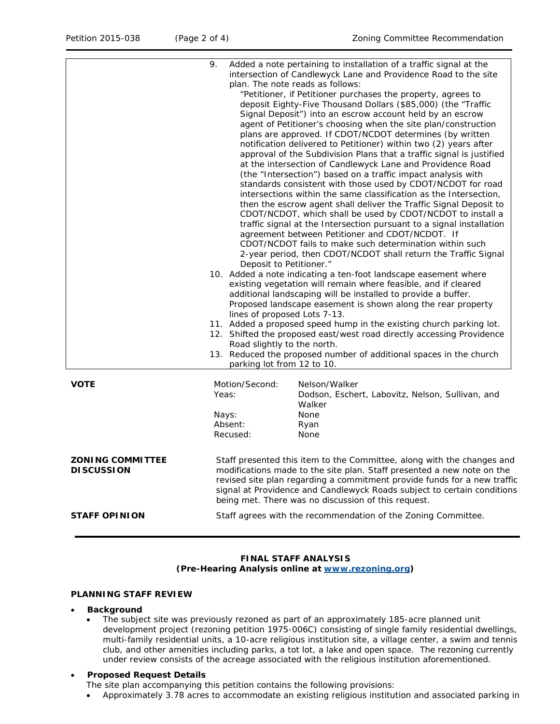|                         | 9.                                                                                                                                                                                                                                                                                                                    |                                                                          | Added a note pertaining to installation of a traffic signal at the     |  |  |
|-------------------------|-----------------------------------------------------------------------------------------------------------------------------------------------------------------------------------------------------------------------------------------------------------------------------------------------------------------------|--------------------------------------------------------------------------|------------------------------------------------------------------------|--|--|
|                         |                                                                                                                                                                                                                                                                                                                       |                                                                          | intersection of Candlewyck Lane and Providence Road to the site        |  |  |
|                         |                                                                                                                                                                                                                                                                                                                       |                                                                          | plan. The note reads as follows:                                       |  |  |
|                         |                                                                                                                                                                                                                                                                                                                       |                                                                          | "Petitioner, if Petitioner purchases the property, agrees to           |  |  |
|                         |                                                                                                                                                                                                                                                                                                                       |                                                                          | deposit Eighty-Five Thousand Dollars (\$85,000) (the "Traffic          |  |  |
|                         |                                                                                                                                                                                                                                                                                                                       |                                                                          | Signal Deposit") into an escrow account held by an escrow              |  |  |
|                         |                                                                                                                                                                                                                                                                                                                       |                                                                          | agent of Petitioner's choosing when the site plan/construction         |  |  |
|                         |                                                                                                                                                                                                                                                                                                                       |                                                                          | plans are approved. If CDOT/NCDOT determines (by written               |  |  |
|                         |                                                                                                                                                                                                                                                                                                                       |                                                                          | notification delivered to Petitioner) within two (2) years after       |  |  |
|                         |                                                                                                                                                                                                                                                                                                                       |                                                                          | approval of the Subdivision Plans that a traffic signal is justified   |  |  |
|                         |                                                                                                                                                                                                                                                                                                                       |                                                                          | at the intersection of Candlewyck Lane and Providence Road             |  |  |
|                         |                                                                                                                                                                                                                                                                                                                       |                                                                          | (the "Intersection") based on a traffic impact analysis with           |  |  |
|                         |                                                                                                                                                                                                                                                                                                                       |                                                                          |                                                                        |  |  |
|                         | standards consistent with those used by CDOT/NCDOT for road<br>intersections within the same classification as the Intersection,                                                                                                                                                                                      |                                                                          |                                                                        |  |  |
|                         |                                                                                                                                                                                                                                                                                                                       |                                                                          |                                                                        |  |  |
|                         | then the escrow agent shall deliver the Traffic Signal Deposit to<br>CDOT/NCDOT, which shall be used by CDOT/NCDOT to install a<br>traffic signal at the Intersection pursuant to a signal installation<br>agreement between Petitioner and CDOT/NCDOT. If<br>CDOT/NCDOT fails to make such determination within such |                                                                          |                                                                        |  |  |
|                         |                                                                                                                                                                                                                                                                                                                       |                                                                          |                                                                        |  |  |
|                         |                                                                                                                                                                                                                                                                                                                       |                                                                          |                                                                        |  |  |
|                         |                                                                                                                                                                                                                                                                                                                       |                                                                          |                                                                        |  |  |
|                         |                                                                                                                                                                                                                                                                                                                       |                                                                          |                                                                        |  |  |
|                         |                                                                                                                                                                                                                                                                                                                       |                                                                          | 2-year period, then CDOT/NCDOT shall return the Traffic Signal         |  |  |
|                         |                                                                                                                                                                                                                                                                                                                       | Deposit to Petitioner."                                                  |                                                                        |  |  |
|                         |                                                                                                                                                                                                                                                                                                                       |                                                                          | 10. Added a note indicating a ten-foot landscape easement where        |  |  |
|                         | existing vegetation will remain where feasible, and if cleared                                                                                                                                                                                                                                                        |                                                                          |                                                                        |  |  |
|                         |                                                                                                                                                                                                                                                                                                                       |                                                                          | additional landscaping will be installed to provide a buffer.          |  |  |
|                         |                                                                                                                                                                                                                                                                                                                       |                                                                          | Proposed landscape easement is shown along the rear property           |  |  |
|                         |                                                                                                                                                                                                                                                                                                                       | lines of proposed Lots 7-13.                                             |                                                                        |  |  |
|                         |                                                                                                                                                                                                                                                                                                                       |                                                                          | 11. Added a proposed speed hump in the existing church parking lot.    |  |  |
|                         |                                                                                                                                                                                                                                                                                                                       |                                                                          | 12. Shifted the proposed east/west road directly accessing Providence  |  |  |
|                         |                                                                                                                                                                                                                                                                                                                       | Road slightly to the north.                                              |                                                                        |  |  |
|                         |                                                                                                                                                                                                                                                                                                                       | 13. Reduced the proposed number of additional spaces in the church       |                                                                        |  |  |
|                         |                                                                                                                                                                                                                                                                                                                       | parking lot from 12 to 10.                                               |                                                                        |  |  |
|                         |                                                                                                                                                                                                                                                                                                                       |                                                                          |                                                                        |  |  |
| <b>VOTE</b>             | Motion/Second:<br>Yeas:                                                                                                                                                                                                                                                                                               |                                                                          | Nelson/Walker                                                          |  |  |
|                         |                                                                                                                                                                                                                                                                                                                       |                                                                          | Dodson, Eschert, Labovitz, Nelson, Sullivan, and                       |  |  |
|                         |                                                                                                                                                                                                                                                                                                                       |                                                                          | Walker                                                                 |  |  |
|                         | Nays:                                                                                                                                                                                                                                                                                                                 |                                                                          | None                                                                   |  |  |
|                         |                                                                                                                                                                                                                                                                                                                       | Absent:                                                                  | Ryan                                                                   |  |  |
|                         |                                                                                                                                                                                                                                                                                                                       | Recused:                                                                 | None                                                                   |  |  |
|                         |                                                                                                                                                                                                                                                                                                                       |                                                                          |                                                                        |  |  |
| <b>ZONING COMMITTEE</b> |                                                                                                                                                                                                                                                                                                                       |                                                                          | Staff presented this item to the Committee, along with the changes and |  |  |
| <b>DISCUSSION</b>       |                                                                                                                                                                                                                                                                                                                       |                                                                          | modifications made to the site plan. Staff presented a new note on the |  |  |
|                         |                                                                                                                                                                                                                                                                                                                       | revised site plan regarding a commitment provide funds for a new traffic |                                                                        |  |  |
|                         |                                                                                                                                                                                                                                                                                                                       | signal at Providence and Candlewyck Roads subject to certain conditions  |                                                                        |  |  |
|                         |                                                                                                                                                                                                                                                                                                                       |                                                                          | being met. There was no discussion of this request.                    |  |  |
| <b>STAFF OPINION</b>    |                                                                                                                                                                                                                                                                                                                       |                                                                          | Staff agrees with the recommendation of the Zoning Committee.          |  |  |
|                         |                                                                                                                                                                                                                                                                                                                       |                                                                          |                                                                        |  |  |
|                         |                                                                                                                                                                                                                                                                                                                       |                                                                          |                                                                        |  |  |

### **FINAL STAFF ANALYSIS (Pre-Hearing Analysis online at [www.rezoning.org\)](http://www.rezoning.org/)**

#### **PLANNING STAFF REVIEW**

# • **Background**

• The subject site was previously rezoned as part of an approximately 185-acre planned unit development project (rezoning petition 1975-006C) consisting of single family residential dwellings, multi-family residential units, a 10-acre religious institution site, a village center, a swim and tennis club, and other amenities including parks, a tot lot, a lake and open space. The rezoning currently under review consists of the acreage associated with the religious institution aforementioned.

### • **Proposed Request Details**

The site plan accompanying this petition contains the following provisions:

• Approximately 3.78 acres to accommodate an existing religious institution and associated parking in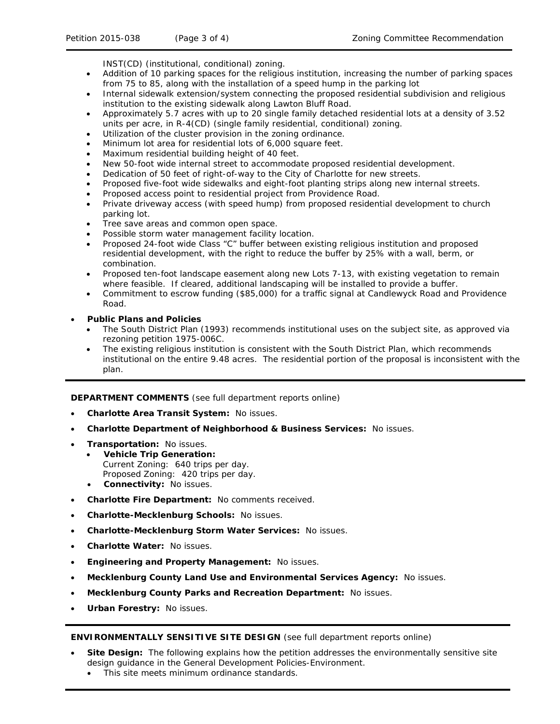INST(CD) (institutional, conditional) zoning.

- Addition of 10 parking spaces for the religious institution, increasing the number of parking spaces from 75 to 85, along with the installation of a speed hump in the parking lot
- Internal sidewalk extension/system connecting the proposed residential subdivision and religious institution to the existing sidewalk along Lawton Bluff Road.
- Approximately 5.7 acres with up to 20 single family detached residential lots at a density of 3.52 units per acre, in R-4(CD) (single family residential, conditional) zoning.
- Utilization of the cluster provision in the zoning ordinance.
- Minimum lot area for residential lots of 6,000 square feet.
- Maximum residential building height of 40 feet.
- New 50-foot wide internal street to accommodate proposed residential development.
- Dedication of 50 feet of right-of-way to the City of Charlotte for new streets.
- Proposed five-foot wide sidewalks and eight-foot planting strips along new internal streets.
- Proposed access point to residential project from Providence Road.
- Private driveway access (with speed hump) from proposed residential development to church parking lot.
- Tree save areas and common open space.
- Possible storm water management facility location.
- Proposed 24-foot wide Class "C" buffer between existing religious institution and proposed residential development, with the right to reduce the buffer by 25% with a wall, berm, or combination.
- Proposed ten-foot landscape easement along new Lots 7-13, with existing vegetation to remain where feasible. If cleared, additional landscaping will be installed to provide a buffer.
- Commitment to escrow funding (\$85,000) for a traffic signal at Candlewyck Road and Providence Road.
- **Public Plans and Policies**
	- The *South District Plan* (1993) recommends institutional uses on the subject site, as approved via rezoning petition 1975-006C.
	- The existing religious institution is consistent with the *South District* Plan, which recommends institutional on the entire 9.48 acres. The residential portion of the proposal is inconsistent with the plan.

**DEPARTMENT COMMENTS** (see full department reports online)

- **Charlotte Area Transit System:** No issues.
- **Charlotte Department of Neighborhood & Business Services:** No issues.
- **Transportation:** No issues.
	- **Vehicle Trip Generation:** Current Zoning: 640 trips per day. Proposed Zoning: 420 trips per day.
	- **Connectivity:** No issues.
- **Charlotte Fire Department:** No comments received.
- **Charlotte-Mecklenburg Schools:** No issues.
- **Charlotte-Mecklenburg Storm Water Services:** No issues.
- **Charlotte Water:** No issues.
- **Engineering and Property Management:** No issues.
- **Mecklenburg County Land Use and Environmental Services Agency:** No issues.
- **Mecklenburg County Parks and Recreation Department:** No issues.
- **Urban Forestry:** No issues.

**ENVIRONMENTALLY SENSITIVE SITE DESIGN** (see full department reports online)

- **Site Design:** The following explains how the petition addresses the environmentally sensitive site design guidance in the *General Development Policies-Environment*.
	- This site meets minimum ordinance standards.